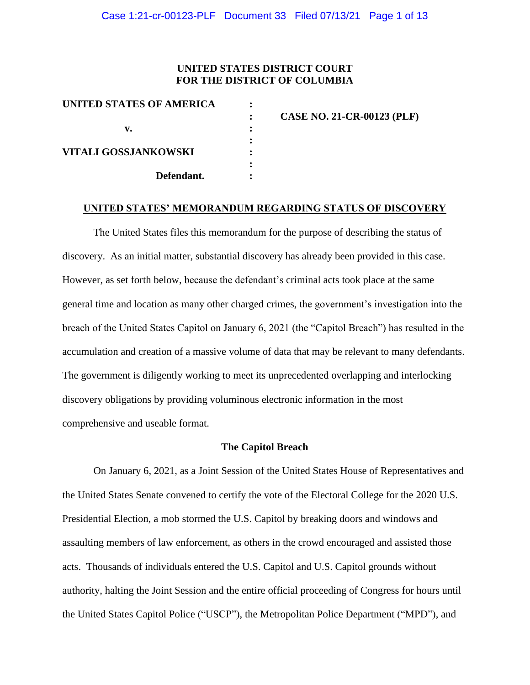### **UNITED STATES DISTRICT COURT FOR THE DISTRICT OF COLUMBIA**

| UNITED STATES OF AMERICA |                                   |
|--------------------------|-----------------------------------|
|                          | <b>CASE NO. 21-CR-00123 (PLF)</b> |
| v.                       |                                   |
|                          |                                   |
| VITALI GOSSJANKOWSKI     |                                   |
|                          |                                   |
| Defendant.               |                                   |
|                          |                                   |

#### **UNITED STATES' MEMORANDUM REGARDING STATUS OF DISCOVERY**

The United States files this memorandum for the purpose of describing the status of discovery. As an initial matter, substantial discovery has already been provided in this case. However, as set forth below, because the defendant's criminal acts took place at the same general time and location as many other charged crimes, the government's investigation into the breach of the United States Capitol on January 6, 2021 (the "Capitol Breach") has resulted in the accumulation and creation of a massive volume of data that may be relevant to many defendants. The government is diligently working to meet its unprecedented overlapping and interlocking discovery obligations by providing voluminous electronic information in the most comprehensive and useable format.

#### **The Capitol Breach**

On January 6, 2021, as a Joint Session of the United States House of Representatives and the United States Senate convened to certify the vote of the Electoral College for the 2020 U.S. Presidential Election, a mob stormed the U.S. Capitol by breaking doors and windows and assaulting members of law enforcement, as others in the crowd encouraged and assisted those acts. Thousands of individuals entered the U.S. Capitol and U.S. Capitol grounds without authority, halting the Joint Session and the entire official proceeding of Congress for hours until the United States Capitol Police ("USCP"), the Metropolitan Police Department ("MPD"), and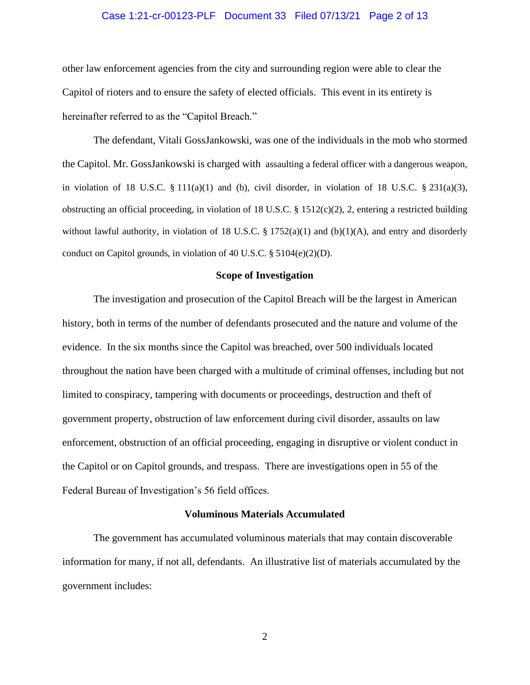#### Case 1:21-cr-00123-PLF Document 33 Filed 07/13/21 Page 2 of 13

other law enforcement agencies from the city and surrounding region were able to clear the Capitol of rioters and to ensure the safety of elected officials. This event in its entirety is hereinafter referred to as the "Capitol Breach."

The defendant, Vitali GossJankowski, was one of the individuals in the mob who stormed the Capitol. Mr. GossJankowski is charged with assaulting a federal officer with a dangerous weapon, in violation of 18 U.S.C. § 111(a)(1) and (b), civil disorder, in violation of 18 U.S.C. § 231(a)(3), obstructing an official proceeding, in violation of 18 U.S.C. § 1512(c)(2), 2, entering a restricted building without lawful authority, in violation of 18 U.S.C. § 1752(a)(1) and (b)(1)(A), and entry and disorderly conduct on Capitol grounds, in violation of 40 U.S.C. § 5104(e)(2)(D).

#### **Scope of Investigation**

The investigation and prosecution of the Capitol Breach will be the largest in American history, both in terms of the number of defendants prosecuted and the nature and volume of the evidence. In the six months since the Capitol was breached, over 500 individuals located throughout the nation have been charged with a multitude of criminal offenses, including but not limited to conspiracy, tampering with documents or proceedings, destruction and theft of government property, obstruction of law enforcement during civil disorder, assaults on law enforcement, obstruction of an official proceeding, engaging in disruptive or violent conduct in the Capitol or on Capitol grounds, and trespass. There are investigations open in 55 of the Federal Bureau of Investigation's 56 field offices.

#### **Voluminous Materials Accumulated**

The government has accumulated voluminous materials that may contain discoverable information for many, if not all, defendants. An illustrative list of materials accumulated by the government includes: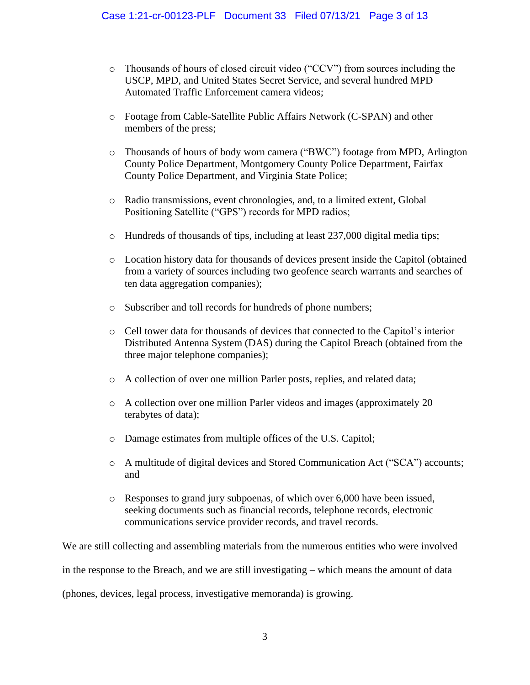- o Thousands of hours of closed circuit video ("CCV") from sources including the USCP, MPD, and United States Secret Service, and several hundred MPD Automated Traffic Enforcement camera videos;
- o Footage from Cable-Satellite Public Affairs Network (C-SPAN) and other members of the press;
- o Thousands of hours of body worn camera ("BWC") footage from MPD, Arlington County Police Department, Montgomery County Police Department, Fairfax County Police Department, and Virginia State Police;
- o Radio transmissions, event chronologies, and, to a limited extent, Global Positioning Satellite ("GPS") records for MPD radios;
- o Hundreds of thousands of tips, including at least 237,000 digital media tips;
- o Location history data for thousands of devices present inside the Capitol (obtained from a variety of sources including two geofence search warrants and searches of ten data aggregation companies);
- o Subscriber and toll records for hundreds of phone numbers;
- o Cell tower data for thousands of devices that connected to the Capitol's interior Distributed Antenna System (DAS) during the Capitol Breach (obtained from the three major telephone companies);
- o A collection of over one million Parler posts, replies, and related data;
- o A collection over one million Parler videos and images (approximately 20 terabytes of data);
- o Damage estimates from multiple offices of the U.S. Capitol;
- o A multitude of digital devices and Stored Communication Act ("SCA") accounts; and
- o Responses to grand jury subpoenas, of which over 6,000 have been issued, seeking documents such as financial records, telephone records, electronic communications service provider records, and travel records.

We are still collecting and assembling materials from the numerous entities who were involved in the response to the Breach, and we are still investigating – which means the amount of data (phones, devices, legal process, investigative memoranda) is growing.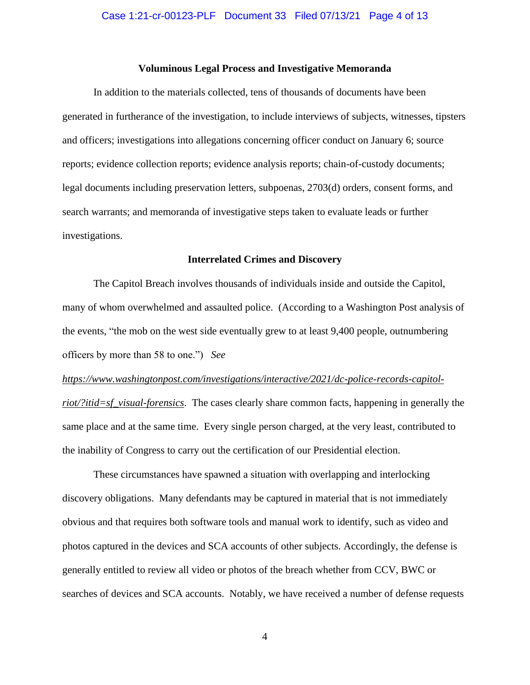#### **Voluminous Legal Process and Investigative Memoranda**

In addition to the materials collected, tens of thousands of documents have been generated in furtherance of the investigation, to include interviews of subjects, witnesses, tipsters and officers; investigations into allegations concerning officer conduct on January 6; source reports; evidence collection reports; evidence analysis reports; chain-of-custody documents; legal documents including preservation letters, subpoenas, 2703(d) orders, consent forms, and search warrants; and memoranda of investigative steps taken to evaluate leads or further investigations.

#### **Interrelated Crimes and Discovery**

The Capitol Breach involves thousands of individuals inside and outside the Capitol, many of whom overwhelmed and assaulted police. (According to a Washington Post analysis of the events, "the mob on the west side eventually grew to at least 9,400 people, outnumbering officers by more than 58 to one.") *See* 

# *https://www.washingtonpost.com/investigations/interactive/2021/dc-police-records-capitol-*

*riot/?itid=sf\_visual-forensics*. The cases clearly share common facts, happening in generally the same place and at the same time. Every single person charged, at the very least, contributed to the inability of Congress to carry out the certification of our Presidential election.

These circumstances have spawned a situation with overlapping and interlocking discovery obligations. Many defendants may be captured in material that is not immediately obvious and that requires both software tools and manual work to identify, such as video and photos captured in the devices and SCA accounts of other subjects. Accordingly, the defense is generally entitled to review all video or photos of the breach whether from CCV, BWC or searches of devices and SCA accounts. Notably, we have received a number of defense requests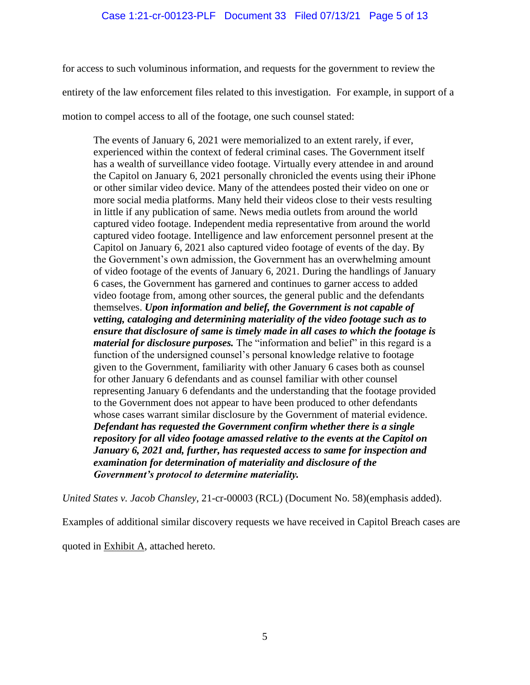for access to such voluminous information, and requests for the government to review the entirety of the law enforcement files related to this investigation. For example, in support of a motion to compel access to all of the footage, one such counsel stated:

The events of January 6, 2021 were memorialized to an extent rarely, if ever, experienced within the context of federal criminal cases. The Government itself has a wealth of surveillance video footage. Virtually every attendee in and around the Capitol on January 6, 2021 personally chronicled the events using their iPhone or other similar video device. Many of the attendees posted their video on one or more social media platforms. Many held their videos close to their vests resulting in little if any publication of same. News media outlets from around the world captured video footage. Independent media representative from around the world captured video footage. Intelligence and law enforcement personnel present at the Capitol on January 6, 2021 also captured video footage of events of the day. By the Government's own admission, the Government has an overwhelming amount of video footage of the events of January 6, 2021. During the handlings of January 6 cases, the Government has garnered and continues to garner access to added video footage from, among other sources, the general public and the defendants themselves. *Upon information and belief, the Government is not capable of vetting, cataloging and determining materiality of the video footage such as to ensure that disclosure of same is timely made in all cases to which the footage is material for disclosure purposes.* The "information and belief" in this regard is a function of the undersigned counsel's personal knowledge relative to footage given to the Government, familiarity with other January 6 cases both as counsel for other January 6 defendants and as counsel familiar with other counsel representing January 6 defendants and the understanding that the footage provided to the Government does not appear to have been produced to other defendants whose cases warrant similar disclosure by the Government of material evidence. *Defendant has requested the Government confirm whether there is a single repository for all video footage amassed relative to the events at the Capitol on January 6, 2021 and, further, has requested access to same for inspection and examination for determination of materiality and disclosure of the Government's protocol to determine materiality.*

*United States v. Jacob Chansley*, 21-cr-00003 (RCL) (Document No. 58)(emphasis added).

Examples of additional similar discovery requests we have received in Capitol Breach cases are

quoted in **Exhibit A**, attached hereto.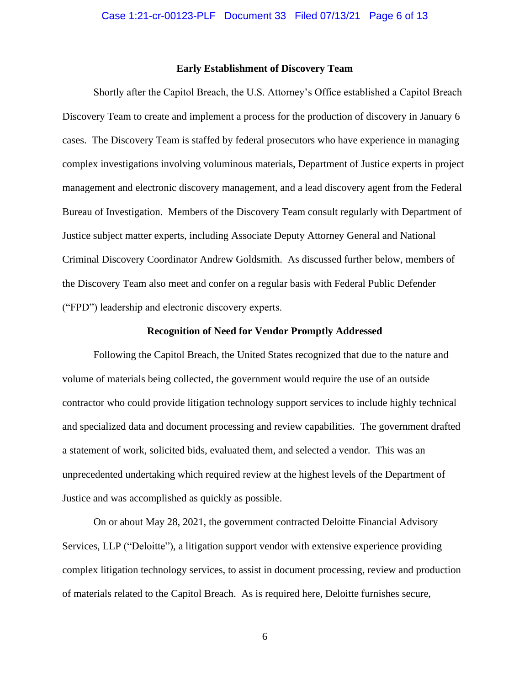#### **Early Establishment of Discovery Team**

Shortly after the Capitol Breach, the U.S. Attorney's Office established a Capitol Breach Discovery Team to create and implement a process for the production of discovery in January 6 cases. The Discovery Team is staffed by federal prosecutors who have experience in managing complex investigations involving voluminous materials, Department of Justice experts in project management and electronic discovery management, and a lead discovery agent from the Federal Bureau of Investigation. Members of the Discovery Team consult regularly with Department of Justice subject matter experts, including Associate Deputy Attorney General and National Criminal Discovery Coordinator Andrew Goldsmith. As discussed further below, members of the Discovery Team also meet and confer on a regular basis with Federal Public Defender ("FPD") leadership and electronic discovery experts.

#### **Recognition of Need for Vendor Promptly Addressed**

Following the Capitol Breach, the United States recognized that due to the nature and volume of materials being collected, the government would require the use of an outside contractor who could provide litigation technology support services to include highly technical and specialized data and document processing and review capabilities. The government drafted a statement of work, solicited bids, evaluated them, and selected a vendor. This was an unprecedented undertaking which required review at the highest levels of the Department of Justice and was accomplished as quickly as possible.

On or about May 28, 2021, the government contracted Deloitte Financial Advisory Services, LLP ("Deloitte"), a litigation support vendor with extensive experience providing complex litigation technology services, to assist in document processing, review and production of materials related to the Capitol Breach. As is required here, Deloitte furnishes secure,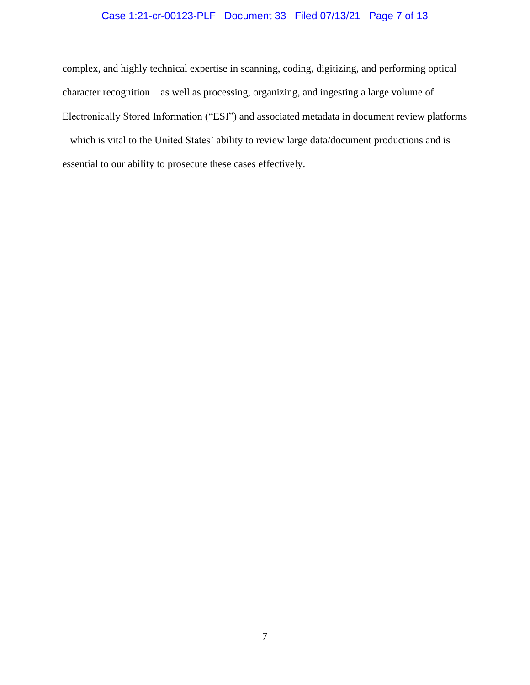### Case 1:21-cr-00123-PLF Document 33 Filed 07/13/21 Page 7 of 13

complex, and highly technical expertise in scanning, coding, digitizing, and performing optical character recognition – as well as processing, organizing, and ingesting a large volume of Electronically Stored Information ("ESI") and associated metadata in document review platforms – which is vital to the United States' ability to review large data/document productions and is essential to our ability to prosecute these cases effectively.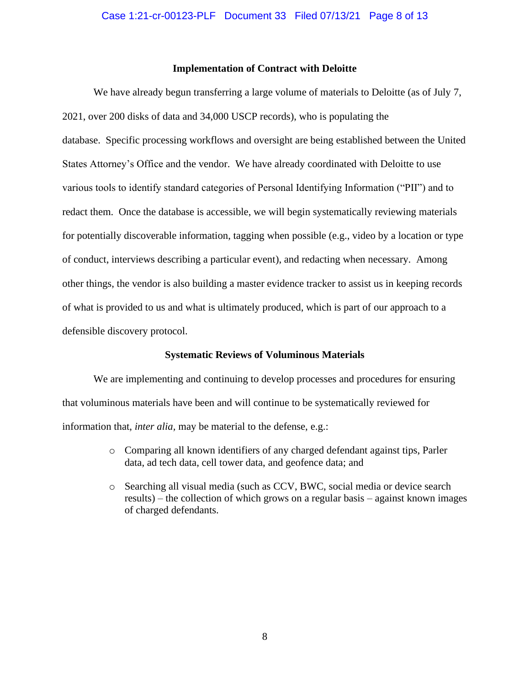#### **Implementation of Contract with Deloitte**

We have already begun transferring a large volume of materials to Deloitte (as of July 7, 2021, over 200 disks of data and 34,000 USCP records), who is populating the database. Specific processing workflows and oversight are being established between the United States Attorney's Office and the vendor. We have already coordinated with Deloitte to use various tools to identify standard categories of Personal Identifying Information ("PII") and to redact them. Once the database is accessible, we will begin systematically reviewing materials for potentially discoverable information, tagging when possible (e.g., video by a location or type of conduct, interviews describing a particular event), and redacting when necessary. Among other things, the vendor is also building a master evidence tracker to assist us in keeping records of what is provided to us and what is ultimately produced, which is part of our approach to a defensible discovery protocol.

#### **Systematic Reviews of Voluminous Materials**

We are implementing and continuing to develop processes and procedures for ensuring that voluminous materials have been and will continue to be systematically reviewed for information that, *inter alia,* may be material to the defense, e.g.:

- o Comparing all known identifiers of any charged defendant against tips, Parler data, ad tech data, cell tower data, and geofence data; and
- o Searching all visual media (such as CCV, BWC, social media or device search results) – the collection of which grows on a regular basis – against known images of charged defendants.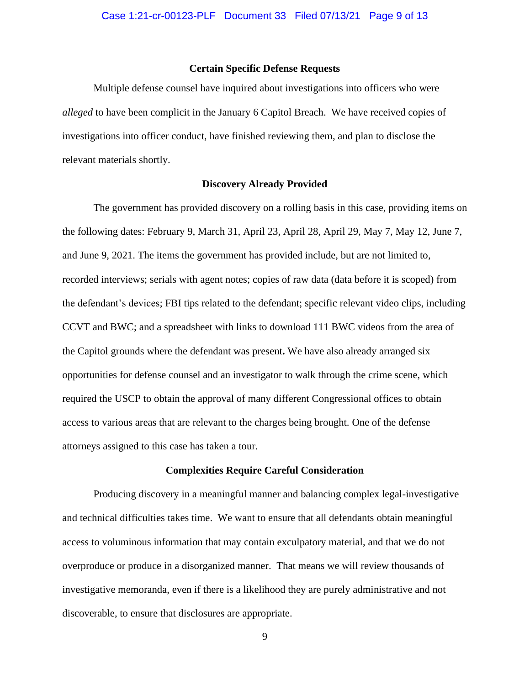#### **Certain Specific Defense Requests**

Multiple defense counsel have inquired about investigations into officers who were *alleged* to have been complicit in the January 6 Capitol Breach. We have received copies of investigations into officer conduct, have finished reviewing them, and plan to disclose the relevant materials shortly.

#### **Discovery Already Provided**

The government has provided discovery on a rolling basis in this case, providing items on the following dates: February 9, March 31, April 23, April 28, April 29, May 7, May 12, June 7, and June 9, 2021. The items the government has provided include, but are not limited to, recorded interviews; serials with agent notes; copies of raw data (data before it is scoped) from the defendant's devices; FBI tips related to the defendant; specific relevant video clips, including CCVT and BWC; and a spreadsheet with links to download 111 BWC videos from the area of the Capitol grounds where the defendant was present**.** We have also already arranged six opportunities for defense counsel and an investigator to walk through the crime scene, which required the USCP to obtain the approval of many different Congressional offices to obtain access to various areas that are relevant to the charges being brought. One of the defense attorneys assigned to this case has taken a tour.

#### **Complexities Require Careful Consideration**

Producing discovery in a meaningful manner and balancing complex legal-investigative and technical difficulties takes time. We want to ensure that all defendants obtain meaningful access to voluminous information that may contain exculpatory material, and that we do not overproduce or produce in a disorganized manner. That means we will review thousands of investigative memoranda, even if there is a likelihood they are purely administrative and not discoverable, to ensure that disclosures are appropriate.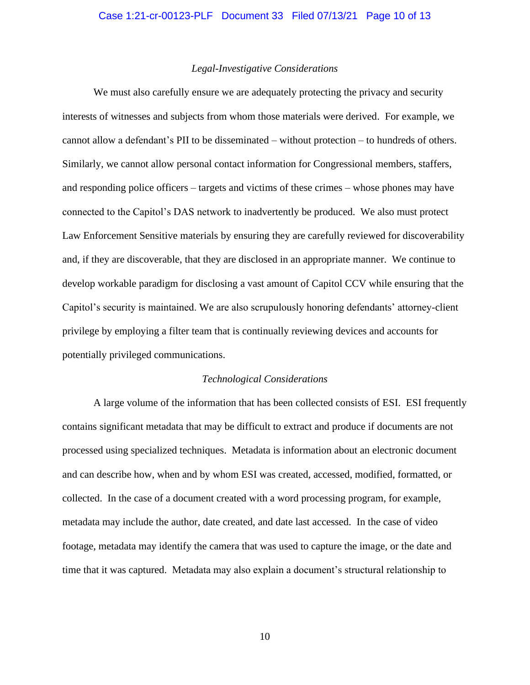#### *Legal-Investigative Considerations*

We must also carefully ensure we are adequately protecting the privacy and security interests of witnesses and subjects from whom those materials were derived. For example, we cannot allow a defendant's PII to be disseminated – without protection – to hundreds of others. Similarly, we cannot allow personal contact information for Congressional members, staffers, and responding police officers – targets and victims of these crimes – whose phones may have connected to the Capitol's DAS network to inadvertently be produced. We also must protect Law Enforcement Sensitive materials by ensuring they are carefully reviewed for discoverability and, if they are discoverable, that they are disclosed in an appropriate manner. We continue to develop workable paradigm for disclosing a vast amount of Capitol CCV while ensuring that the Capitol's security is maintained. We are also scrupulously honoring defendants' attorney-client privilege by employing a filter team that is continually reviewing devices and accounts for potentially privileged communications.

#### *Technological Considerations*

A large volume of the information that has been collected consists of ESI. ESI frequently contains significant metadata that may be difficult to extract and produce if documents are not processed using specialized techniques. Metadata is information about an electronic document and can describe how, when and by whom ESI was created, accessed, modified, formatted, or collected. In the case of a document created with a word processing program, for example, metadata may include the author, date created, and date last accessed. In the case of video footage, metadata may identify the camera that was used to capture the image, or the date and time that it was captured. Metadata may also explain a document's structural relationship to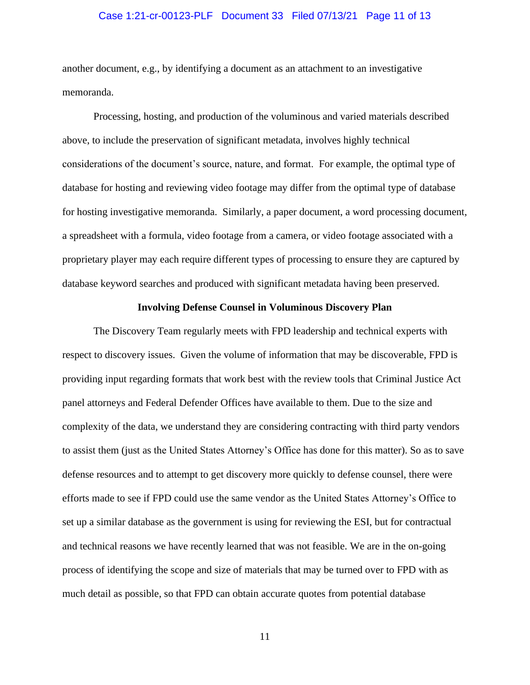#### Case 1:21-cr-00123-PLF Document 33 Filed 07/13/21 Page 11 of 13

another document, e.g., by identifying a document as an attachment to an investigative memoranda.

Processing, hosting, and production of the voluminous and varied materials described above, to include the preservation of significant metadata, involves highly technical considerations of the document's source, nature, and format. For example, the optimal type of database for hosting and reviewing video footage may differ from the optimal type of database for hosting investigative memoranda. Similarly, a paper document, a word processing document, a spreadsheet with a formula, video footage from a camera, or video footage associated with a proprietary player may each require different types of processing to ensure they are captured by database keyword searches and produced with significant metadata having been preserved.

#### **Involving Defense Counsel in Voluminous Discovery Plan**

The Discovery Team regularly meets with FPD leadership and technical experts with respect to discovery issues. Given the volume of information that may be discoverable, FPD is providing input regarding formats that work best with the review tools that Criminal Justice Act panel attorneys and Federal Defender Offices have available to them. Due to the size and complexity of the data, we understand they are considering contracting with third party vendors to assist them (just as the United States Attorney's Office has done for this matter). So as to save defense resources and to attempt to get discovery more quickly to defense counsel, there were efforts made to see if FPD could use the same vendor as the United States Attorney's Office to set up a similar database as the government is using for reviewing the ESI, but for contractual and technical reasons we have recently learned that was not feasible. We are in the on-going process of identifying the scope and size of materials that may be turned over to FPD with as much detail as possible, so that FPD can obtain accurate quotes from potential database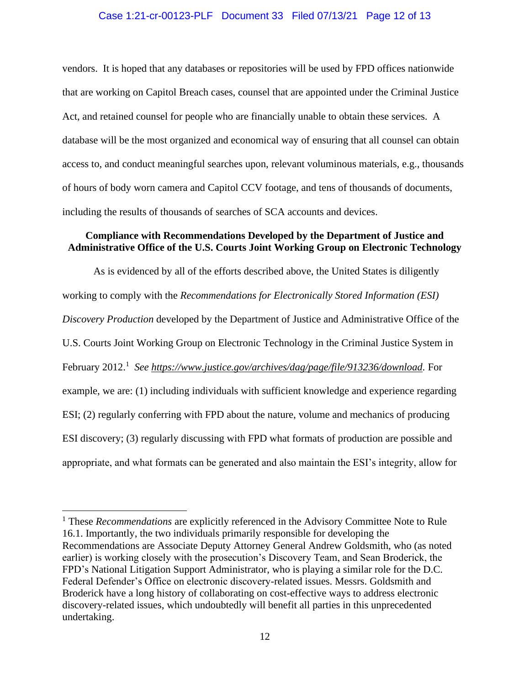#### Case 1:21-cr-00123-PLF Document 33 Filed 07/13/21 Page 12 of 13

vendors. It is hoped that any databases or repositories will be used by FPD offices nationwide that are working on Capitol Breach cases, counsel that are appointed under the Criminal Justice Act, and retained counsel for people who are financially unable to obtain these services. A database will be the most organized and economical way of ensuring that all counsel can obtain access to, and conduct meaningful searches upon, relevant voluminous materials, e.g., thousands of hours of body worn camera and Capitol CCV footage, and tens of thousands of documents, including the results of thousands of searches of SCA accounts and devices.

### **Compliance with Recommendations Developed by the Department of Justice and Administrative Office of the U.S. Courts Joint Working Group on Electronic Technology**

As is evidenced by all of the efforts described above, the United States is diligently working to comply with the *Recommendations for Electronically Stored Information (ESI) Discovery Production* developed by the Department of Justice and Administrative Office of the U.S. Courts Joint Working Group on Electronic Technology in the Criminal Justice System in February 2012.<sup>1</sup> See https://www.justice.gov/archives/dag/page/file/913236/download. For example, we are: (1) including individuals with sufficient knowledge and experience regarding ESI; (2) regularly conferring with FPD about the nature, volume and mechanics of producing ESI discovery; (3) regularly discussing with FPD what formats of production are possible and appropriate, and what formats can be generated and also maintain the ESI's integrity, allow for

<sup>&</sup>lt;sup>1</sup> These *Recommendations* are explicitly referenced in the Advisory Committee Note to Rule 16.1. Importantly, the two individuals primarily responsible for developing the Recommendations are Associate Deputy Attorney General Andrew Goldsmith, who (as noted earlier) is working closely with the prosecution's Discovery Team, and Sean Broderick, the FPD's National Litigation Support Administrator, who is playing a similar role for the D.C. Federal Defender's Office on electronic discovery-related issues. Messrs. Goldsmith and Broderick have a long history of collaborating on cost-effective ways to address electronic discovery-related issues, which undoubtedly will benefit all parties in this unprecedented undertaking.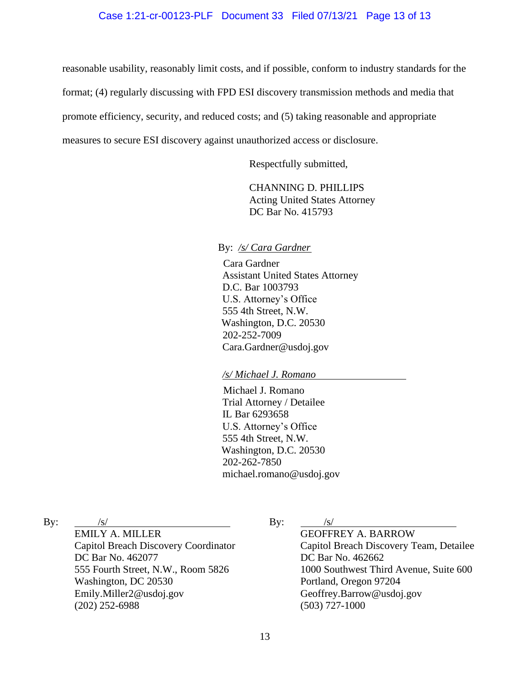reasonable usability, reasonably limit costs, and if possible, conform to industry standards for the

format; (4) regularly discussing with FPD ESI discovery transmission methods and media that

promote efficiency, security, and reduced costs; and (5) taking reasonable and appropriate

measures to secure ESI discovery against unauthorized access or disclosure.

Respectfully submitted,

CHANNING D. PHILLIPS Acting United States Attorney DC Bar No. 415793

#### By: */s/ Cara Gardner*

 Cara Gardner Assistant United States Attorney D.C. Bar 1003793 U.S. Attorney's Office 555 4th Street, N.W. Washington, D.C. 20530 202-252-7009 Cara.Gardner@usdoj.gov

#### */s/ Michael J. Romano*

 Michael J. Romano Trial Attorney / Detailee IL Bar 6293658 U.S. Attorney's Office 555 4th Street, N.W. Washington, D.C. 20530 202-262-7850 michael.romano@usdoj.gov

By:  $/s/$ 

EMILY A. MILLER Capitol Breach Discovery Coordinator DC Bar No. 462077 555 Fourth Street, N.W., Room 5826 Washington, DC 20530 Emily.Miller2@usdoj.gov (202) 252-6988

By:  $/s/$ 

GEOFFREY A. BARROW Capitol Breach Discovery Team, Detailee DC Bar No. 462662 1000 Southwest Third Avenue, Suite 600 Portland, Oregon 97204 Geoffrey.Barrow@usdoj.gov (503) 727-1000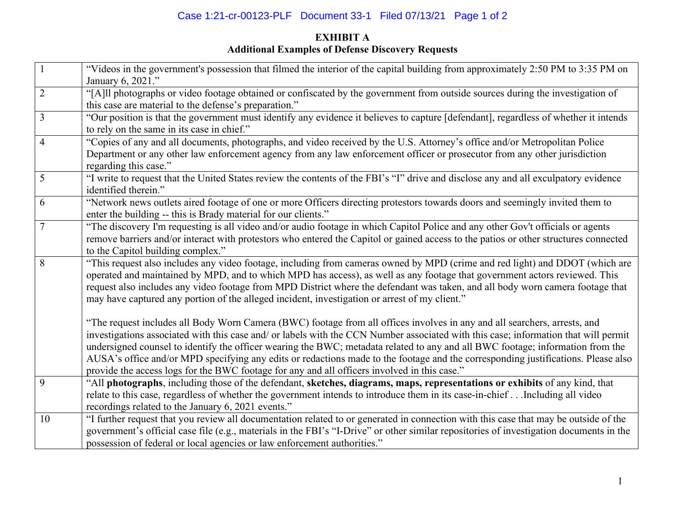# Case 1:21-cr-00123-PLF Document 33-1 Filed 07/13/21 Page 1 of 2

# **EXHIBIT A Additional Examples of Defense Discovery Requests**

|                | "Videos in the government's possession that filmed the interior of the capital building from approximately 2:50 PM to 3:35 PM on                                                        |
|----------------|-----------------------------------------------------------------------------------------------------------------------------------------------------------------------------------------|
|                | January 6, 2021."                                                                                                                                                                       |
| $\overline{2}$ | "[A]ll photographs or video footage obtained or confiscated by the government from outside sources during the investigation of<br>this case are material to the defense's preparation." |
| 3              | "Our position is that the government must identify any evidence it believes to capture [defendant], regardless of whether it intends                                                    |
|                | to rely on the same in its case in chief."                                                                                                                                              |
| $\overline{4}$ | "Copies of any and all documents, photographs, and video received by the U.S. Attorney's office and/or Metropolitan Police                                                              |
|                | Department or any other law enforcement agency from any law enforcement officer or prosecutor from any other jurisdiction                                                               |
|                | regarding this case."                                                                                                                                                                   |
| 5              | "I write to request that the United States review the contents of the FBI's "I" drive and disclose any and all exculpatory evidence                                                     |
|                | identified therein."                                                                                                                                                                    |
| 6              | "Network news outlets aired footage of one or more Officers directing protestors towards doors and seemingly invited them to                                                            |
|                | enter the building -- this is Brady material for our clients."                                                                                                                          |
| 7              | "The discovery I'm requesting is all video and/or audio footage in which Capitol Police and any other Gov't officials or agents                                                         |
|                | remove barriers and/or interact with protestors who entered the Capitol or gained access to the patios or other structures connected                                                    |
|                | to the Capitol building complex."                                                                                                                                                       |
| 8              | "This request also includes any video footage, including from cameras owned by MPD (crime and red light) and DDOT (which are                                                            |
|                | operated and maintained by MPD, and to which MPD has access), as well as any footage that government actors reviewed. This                                                              |
|                | request also includes any video footage from MPD District where the defendant was taken, and all body worn camera footage that                                                          |
|                | may have captured any portion of the alleged incident, investigation or arrest of my client."                                                                                           |
|                |                                                                                                                                                                                         |
|                | "The request includes all Body Worn Camera (BWC) footage from all offices involves in any and all searchers, arrests, and                                                               |
|                | investigations associated with this case and/ or labels with the CCN Number associated with this case; information that will permit                                                     |
|                | undersigned counsel to identify the officer wearing the BWC; metadata related to any and all BWC footage; information from the                                                          |
|                | AUSA's office and/or MPD specifying any edits or redactions made to the footage and the corresponding justifications. Please also                                                       |
|                | provide the access logs for the BWC footage for any and all officers involved in this case."                                                                                            |
| 9              | "All photographs, including those of the defendant, sketches, diagrams, maps, representations or exhibits of any kind, that                                                             |
|                | relate to this case, regardless of whether the government intends to introduce them in its case-in-chiefIncluding all video                                                             |
|                | recordings related to the January 6, 2021 events."                                                                                                                                      |
| 10             | "I further request that you review all documentation related to or generated in connection with this case that may be outside of the                                                    |
|                | government's official case file (e.g., materials in the FBI's "I-Drive" or other similar repositories of investigation documents in the                                                 |
|                | possession of federal or local agencies or law enforcement authorities."                                                                                                                |